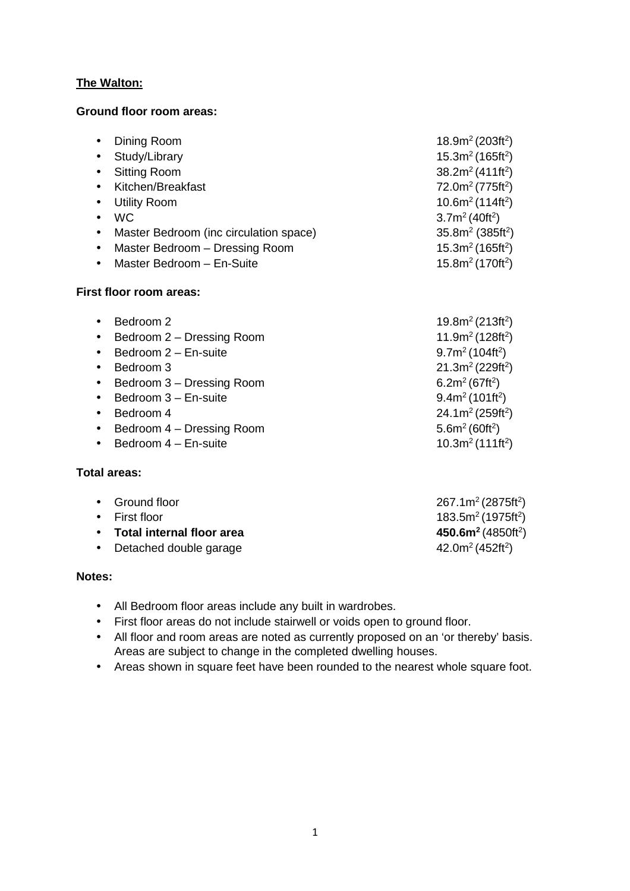## **The Walton:**

## **Ground floor room areas:**

| Dining Room<br>$\bullet$                            | 18.9 $m^2$ (203ft <sup>2</sup> )         |
|-----------------------------------------------------|------------------------------------------|
| Study/Library<br>$\bullet$                          | $15.3m2$ (165ft <sup>2</sup> )           |
| <b>Sitting Room</b><br>$\bullet$                    | 38.2 $m^2$ (411ft <sup>2</sup> )         |
| Kitchen/Breakfast<br>$\bullet$                      | $72.0m2$ (775ft <sup>2</sup> )           |
| <b>Utility Room</b><br>$\bullet$                    | $10.6m2$ (114ft <sup>2</sup> )           |
| WC.<br>$\bullet$                                    | 3.7m <sup>2</sup> (40ft <sup>2</sup> )   |
| Master Bedroom (inc circulation space)<br>$\bullet$ | $35.8m2$ (385ft <sup>2</sup> )           |
| Master Bedroom - Dressing Room<br>$\bullet$         | $15.3m2$ (165ft <sup>2</sup> )           |
| Master Bedroom - En-Suite<br>$\bullet$              | 15.8m <sup>2</sup> (170ft <sup>2</sup> ) |
| First floor room areas:                             |                                          |
| Bedroom 2<br>$\bullet$                              | 19.8m <sup>2</sup> (213ft <sup>2</sup> ) |
| Bedroom 2 - Dressing Room<br>$\bullet$              | 11.9m <sup>2</sup> (128ft <sup>2</sup> ) |
| Bedroom 2 - En-suite<br>$\bullet$                   | $9.7m2$ (104ft <sup>2</sup> )            |
| Bedroom 3                                           | 21.3 $m^2$ (229ft <sup>2</sup> )         |

- Bedroom  $3 -$  Dressing Room
- Bedroom  $3$  En-suite
- Bedroom 4 24.1m<sup>2</sup> (259ft<sup>2</sup>)
- Bedroom  $4$  Dressing Room
- Bedroom  $4$  En-suite

## **Total areas:**

| • Ground floor              | $267.1m^2(2875ft^2)$                       |
|-----------------------------|--------------------------------------------|
| $\bullet$ First floor       | $183.5m^2(1975ft^2)$                       |
| • Total internal floor area | 450.6m <sup>2</sup> (4850ft <sup>2</sup> ) |
| • Detached double garage    | 42.0m <sup>2</sup> (452ft <sup>2</sup> )   |
|                             |                                            |

6.2 $m^2$  (67ft<sup>2</sup>)

 $9.4m^2(101ft^2)$ 

 $5.6m<sup>2</sup> (60ft<sup>2</sup>)$ 

 $10.3m<sup>2</sup> (111ft<sup>2</sup>)$ 

## **Notes:**

- All Bedroom floor areas include any built in wardrobes.
- First floor areas do not include stairwell or voids open to ground floor.
- All floor and room areas are noted as currently proposed on an 'or thereby' basis. Areas are subject to change in the completed dwelling houses.
- Areas shown in square feet have been rounded to the nearest whole square foot.